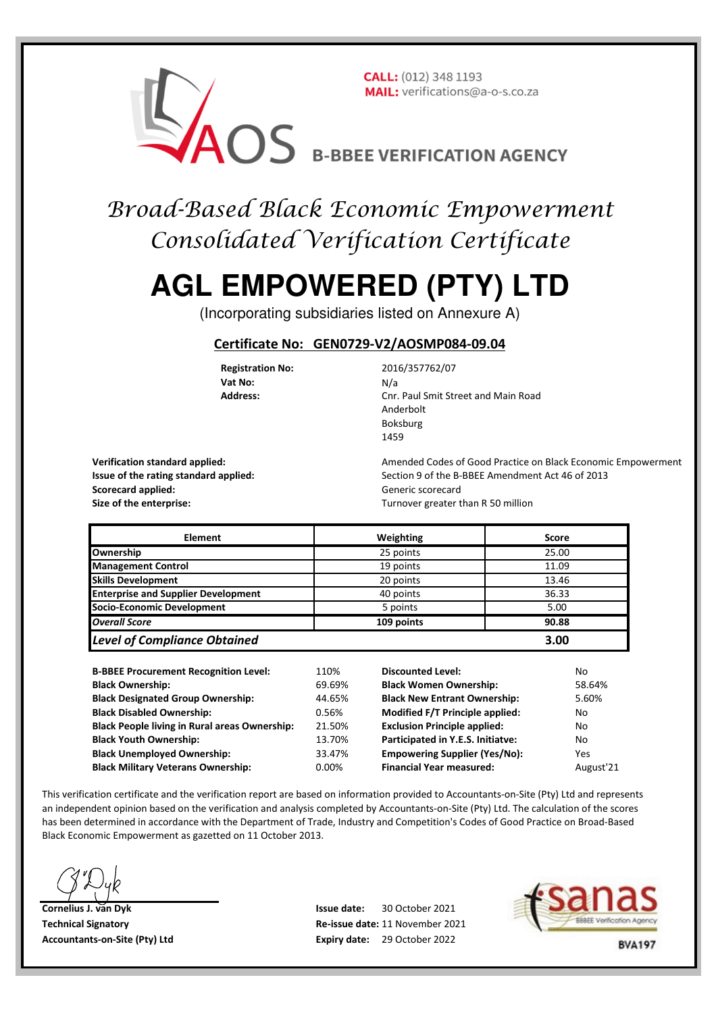

# Broad-Based Black Economic Empowerment Consolidated Verification Certificate

# **AGL EMPOWERED (PTY) LTD**

(Incorporating subsidiaries listed on Annexure A)

### **Certificate No: GEN0729-V2/AOSMP084-09.04**

**Registration No:** 2016/357762/07 **Vat No:** N/a

**Address:** Cnr. Paul Smit Street and Main Road Anderbolt Boksburg 1459

**Scorecard applied:** Generic scorecard applied: **Generic scorecard Size of the enterprise:** Turnover greater than R 50 million

**Verification standard applied:** Amended Codes of Good Practice on Black Economic Empowerment **Issue of the rating standard applied:** Section 9 of the B-BBEE Amendment Act 46 of 2013

| <b>Element</b>                             | Weighting  | <b>Score</b> |
|--------------------------------------------|------------|--------------|
| Ownership                                  | 25 points  | 25.00        |
| <b>Management Control</b>                  | 19 points  | 11.09        |
| <b>Skills Development</b>                  | 20 points  | 13.46        |
| <b>Enterprise and Supplier Development</b> | 40 points  | 36.33        |
| Socio-Economic Development                 | 5 points   | 5.00         |
| <b>Overall Score</b>                       | 109 points | 90.88        |
| <b>Level of Compliance Obtained</b>        |            | 3.00         |

| <b>B-BBEE Procurement Recognition Level:</b>         | 110%     | <b>Discounted Level:</b>             | No        |
|------------------------------------------------------|----------|--------------------------------------|-----------|
| <b>Black Ownership:</b>                              | 69.69%   | <b>Black Women Ownership:</b>        | 58.64%    |
| <b>Black Designated Group Ownership:</b>             | 44.65%   | <b>Black New Entrant Ownership:</b>  | 5.60%     |
| <b>Black Disabled Ownership:</b>                     | 0.56%    | Modified F/T Principle applied:      | No        |
| <b>Black People living in Rural areas Ownership:</b> | 21.50%   | <b>Exclusion Principle applied:</b>  | No        |
| <b>Black Youth Ownership:</b>                        | 13.70%   | Participated in Y.E.S. Initiatve:    | No        |
| <b>Black Unemployed Ownership:</b>                   | 33.47%   | <b>Empowering Supplier (Yes/No):</b> | Yes       |
| <b>Black Military Veterans Ownership:</b>            | $0.00\%$ | <b>Financial Year measured:</b>      | August'21 |

This verification certificate and the verification report are based on information provided to Accountants-on-Site (Pty) Ltd and represents an independent opinion based on the verification and analysis completed by Accountants-on-Site (Pty) Ltd. The calculation of the scores has been determined in accordance with the Department of Trade, Industry and Competition's Codes of Good Practice on Broad-Based Black Economic Empowerment as gazetted on 11 October 2013.

**Cornelius J. van Dyk Issue date: Technical Signatory Accountants-on-Site (Pty) Ltd** 

30 October 2021 Expiry date: 29 October 2022 Re-issue date: 11 November 2021



**BVA197**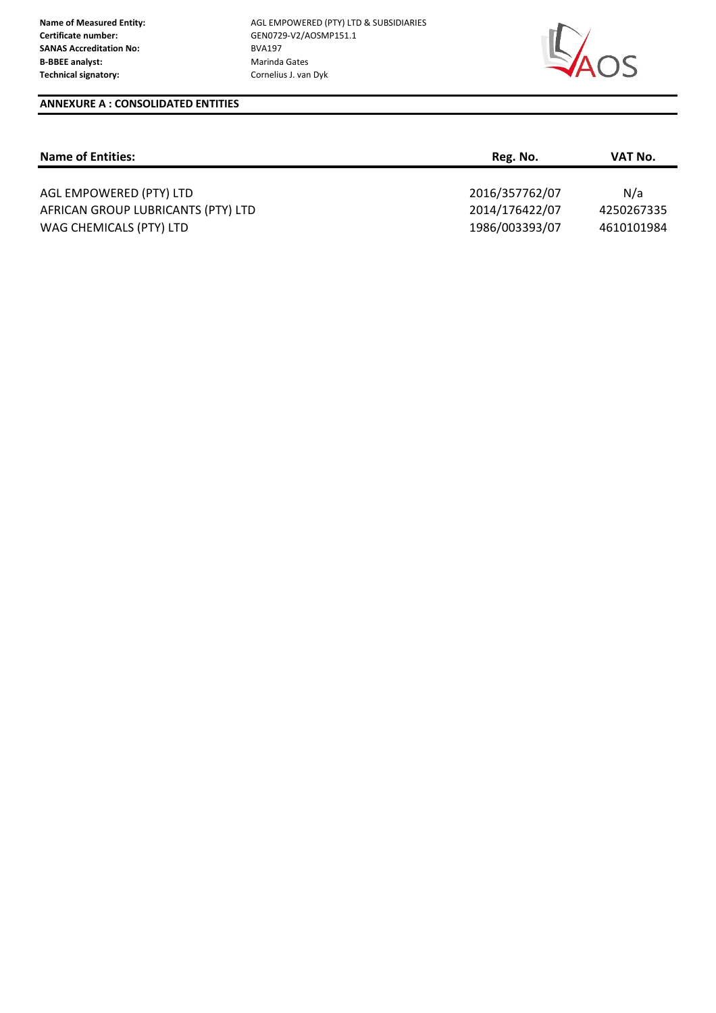**Certificate number:** GEN0729-V2/AOSMP151.1<br> **SANAS Accreditation No:** BVA197 **SANAS Accreditation No: B-BBEE analyst:** Marinda Gates **Technical signatory:** Cornelius J. van Dyk

**Name of Measured Entity:** AGL EMPOWERED (PTY) LTD & SUBSIDIARIES



#### **ANNEXURE A : CONSOLIDATED ENTITIES**

| Reg. No.                         | VAT No.                         |  |
|----------------------------------|---------------------------------|--|
| 2016/357762/07<br>2014/176422/07 | N/a<br>4250267335<br>4610101984 |  |
|                                  | 1986/003393/07                  |  |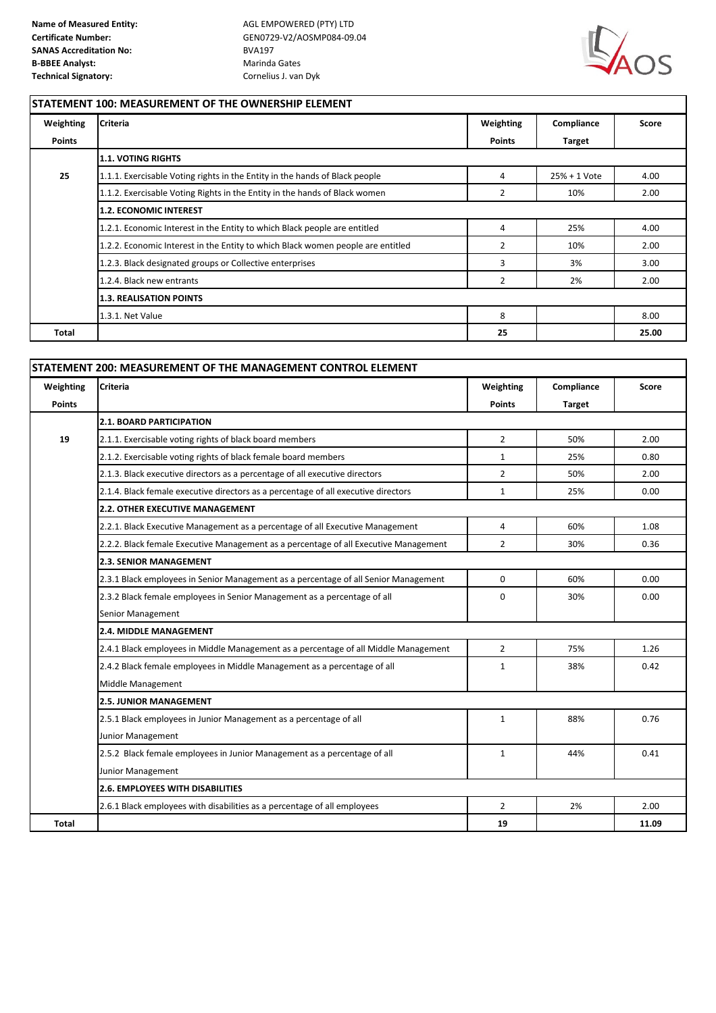

## **STATEMENT 100: MEASUREMENT OF THE OWNERSHIP ELEMENT**

| Weighting                     | <b>Criteria</b>                                                                 | Weighting      | Compliance   | Score |
|-------------------------------|---------------------------------------------------------------------------------|----------------|--------------|-------|
| <b>Points</b>                 |                                                                                 | <b>Points</b>  | Target       |       |
|                               | <b>1.1. VOTING RIGHTS</b>                                                       |                |              |       |
| 25                            | 1.1.1. Exercisable Voting rights in the Entity in the hands of Black people     | 4              | 25% + 1 Vote | 4.00  |
|                               | 1.1.2. Exercisable Voting Rights in the Entity in the hands of Black women      | $\overline{2}$ | 10%          | 2.00  |
| <b>1.2. ECONOMIC INTEREST</b> |                                                                                 |                |              |       |
|                               | 1.2.1. Economic Interest in the Entity to which Black people are entitled       | 4              | 25%          | 4.00  |
|                               | 1.2.2. Economic Interest in the Entity to which Black women people are entitled |                | 10%          | 2.00  |
|                               | 1.2.3. Black designated groups or Collective enterprises                        | 3              | 3%           | 3.00  |
|                               | 1.2.4. Black new entrants                                                       | 2              | 2%           | 2.00  |
|                               | <b>1.3. REALISATION POINTS</b>                                                  |                |              |       |
|                               | 1.3.1. Net Value                                                                | 8              |              | 8.00  |
| <b>Total</b>                  |                                                                                 | 25             |              | 25.00 |

| Weighting     | <b>Criteria</b>                                                                      | Weighting      | Compliance    | <b>Score</b> |
|---------------|--------------------------------------------------------------------------------------|----------------|---------------|--------------|
| <b>Points</b> |                                                                                      | <b>Points</b>  | <b>Target</b> |              |
|               | <b>2.1. BOARD PARTICIPATION</b>                                                      |                |               |              |
| 19            | 2.1.1. Exercisable voting rights of black board members                              | $\overline{2}$ | 50%           | 2.00         |
|               | 2.1.2. Exercisable voting rights of black female board members                       | $\mathbf{1}$   | 25%           | 0.80         |
|               | 2.1.3. Black executive directors as a percentage of all executive directors          | $\overline{2}$ | 50%           | 2.00         |
|               | 2.1.4. Black female executive directors as a percentage of all executive directors   | $\mathbf{1}$   | 25%           | 0.00         |
|               | 2.2. OTHER EXECUTIVE MANAGEMENT                                                      |                |               |              |
|               | 2.2.1. Black Executive Management as a percentage of all Executive Management        | 4              | 60%           | 1.08         |
|               | 2.2.2. Black female Executive Management as a percentage of all Executive Management | $\overline{2}$ | 30%           | 0.36         |
|               | <b>2.3. SENIOR MANAGEMENT</b>                                                        |                |               |              |
|               | 2.3.1 Black employees in Senior Management as a percentage of all Senior Management  | 0              | 60%           | 0.00         |
|               | 2.3.2 Black female employees in Senior Management as a percentage of all             | 0              | 30%           | 0.00         |
|               | Senior Management                                                                    |                |               |              |
|               | 2.4. MIDDLE MANAGEMENT                                                               |                |               |              |
|               | 2.4.1 Black employees in Middle Management as a percentage of all Middle Management  | $\overline{2}$ | 75%           | 1.26         |
|               | 2.4.2 Black female employees in Middle Management as a percentage of all             | $\mathbf{1}$   | 38%           | 0.42         |
|               | Middle Management                                                                    |                |               |              |
|               | <b>2.5. JUNIOR MANAGEMENT</b>                                                        |                |               |              |
|               | 2.5.1 Black employees in Junior Management as a percentage of all                    | $\mathbf{1}$   | 88%           | 0.76         |
|               | Junior Management                                                                    |                |               |              |
|               | 2.5.2 Black female employees in Junior Management as a percentage of all             | $\mathbf{1}$   | 44%           | 0.41         |
|               | Junior Management                                                                    |                |               |              |
|               | 2.6. EMPLOYEES WITH DISABILITIES                                                     |                |               |              |
|               | 2.6.1 Black employees with disabilities as a percentage of all employees             | $\overline{2}$ | 2%            | 2.00         |
| <b>Total</b>  |                                                                                      | 19             |               | 11.09        |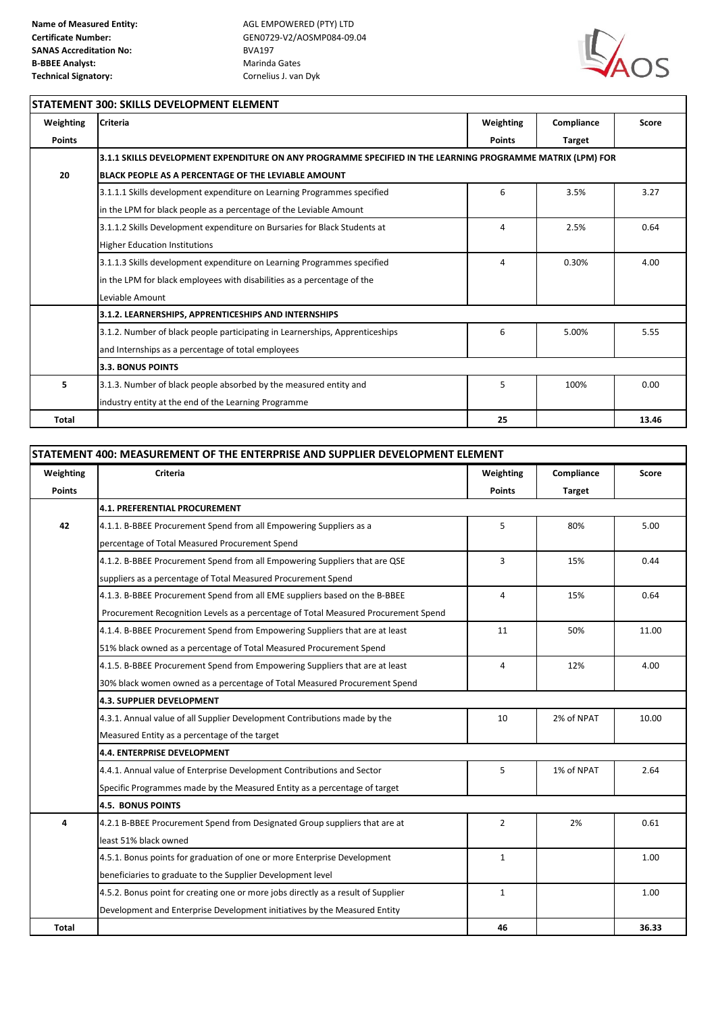**Name of Measured Entity:** AGL EMPOWERED (PTY) LTD **Certificate Number:** GEN0729-V2/AOSMP084-09.04



٦

#### **STATEMENT 300: SKILLS DEVELOPMENT ELEMENT**

| Weighting     | <b>Criteria</b>                                                                                            | Weighting     | Compliance | Score |
|---------------|------------------------------------------------------------------------------------------------------------|---------------|------------|-------|
| <b>Points</b> |                                                                                                            | <b>Points</b> | Target     |       |
|               | 3.1.1 SKILLS DEVELOPMENT EXPENDITURE ON ANY PROGRAMME SPECIFIED IN THE LEARNING PROGRAMME MATRIX (LPM) FOR |               |            |       |
| 20            | BLACK PEOPLE AS A PERCENTAGE OF THE LEVIABLE AMOUNT                                                        |               |            |       |
|               | 3.1.1.1 Skills development expenditure on Learning Programmes specified                                    | 6             | 3.5%       | 3.27  |
|               | in the LPM for black people as a percentage of the Leviable Amount                                         |               |            |       |
|               | 3.1.1.2 Skills Development expenditure on Bursaries for Black Students at                                  | 4             | 2.5%       | 0.64  |
|               | <b>Higher Education Institutions</b>                                                                       |               |            |       |
|               | 3.1.1.3 Skills development expenditure on Learning Programmes specified                                    | 4             | 0.30%      | 4.00  |
|               | in the LPM for black employees with disabilities as a percentage of the                                    |               |            |       |
|               | Leviable Amount                                                                                            |               |            |       |
|               | 3.1.2. LEARNERSHIPS, APPRENTICESHIPS AND INTERNSHIPS                                                       |               |            |       |
|               | 3.1.2. Number of black people participating in Learnerships, Apprenticeships                               | 6             | 5.00%      | 5.55  |
|               | and Internships as a percentage of total employees                                                         |               |            |       |
|               | 3.3. BONUS POINTS                                                                                          |               |            |       |
| 5             | 3.1.3. Number of black people absorbed by the measured entity and                                          | 5             | 100%       | 0.00  |
|               | industry entity at the end of the Learning Programme                                                       |               |            |       |
| <b>Total</b>  |                                                                                                            | 25            |            | 13.46 |

| STATEMENT 400: MEASUREMENT OF THE ENTERPRISE AND SUPPLIER DEVELOPMENT ELEMENT |                                                                                    |                |               |       |
|-------------------------------------------------------------------------------|------------------------------------------------------------------------------------|----------------|---------------|-------|
| Weighting                                                                     | Criteria                                                                           | Weighting      | Compliance    | Score |
| <b>Points</b>                                                                 |                                                                                    | <b>Points</b>  | <b>Target</b> |       |
|                                                                               | 4.1. PREFERENTIAL PROCUREMENT                                                      |                |               |       |
| 42                                                                            | 4.1.1. B-BBEE Procurement Spend from all Empowering Suppliers as a                 | 5              | 80%           | 5.00  |
|                                                                               | percentage of Total Measured Procurement Spend                                     |                |               |       |
|                                                                               | 4.1.2. B-BBEE Procurement Spend from all Empowering Suppliers that are QSE         | 3              | 15%           | 0.44  |
|                                                                               | suppliers as a percentage of Total Measured Procurement Spend                      |                |               |       |
|                                                                               | 4.1.3. B-BBEE Procurement Spend from all EME suppliers based on the B-BBEE         | 4              | 15%           | 0.64  |
|                                                                               | Procurement Recognition Levels as a percentage of Total Measured Procurement Spend |                |               |       |
|                                                                               | 4.1.4. B-BBEE Procurement Spend from Empowering Suppliers that are at least        | 11             | 50%           | 11.00 |
|                                                                               | 51% black owned as a percentage of Total Measured Procurement Spend                |                |               |       |
|                                                                               | 4.1.5. B-BBEE Procurement Spend from Empowering Suppliers that are at least        | 4              | 12%           | 4.00  |
|                                                                               | 30% black women owned as a percentage of Total Measured Procurement Spend          |                |               |       |
|                                                                               | 4.3. SUPPLIER DEVELOPMENT                                                          |                |               |       |
|                                                                               | 4.3.1. Annual value of all Supplier Development Contributions made by the          | 10             | 2% of NPAT    | 10.00 |
|                                                                               | Measured Entity as a percentage of the target                                      |                |               |       |
|                                                                               | 4.4. ENTERPRISE DEVELOPMENT                                                        |                |               |       |
|                                                                               | 4.4.1. Annual value of Enterprise Development Contributions and Sector             | 5              | 1% of NPAT    | 2.64  |
|                                                                               | Specific Programmes made by the Measured Entity as a percentage of target          |                |               |       |
|                                                                               | <b>4.5. BONUS POINTS</b>                                                           |                |               |       |
| 4                                                                             | 4.2.1 B-BBEE Procurement Spend from Designated Group suppliers that are at         | $\overline{2}$ | 2%            | 0.61  |
|                                                                               | least 51% black owned                                                              |                |               |       |
|                                                                               | 4.5.1. Bonus points for graduation of one or more Enterprise Development           | $\mathbf{1}$   |               | 1.00  |
|                                                                               | beneficiaries to graduate to the Supplier Development level                        |                |               |       |
|                                                                               | 4.5.2. Bonus point for creating one or more jobs directly as a result of Supplier  | $\mathbf{1}$   |               | 1.00  |
|                                                                               | Development and Enterprise Development initiatives by the Measured Entity          |                |               |       |
| <b>Total</b>                                                                  |                                                                                    | 46             |               | 36.33 |